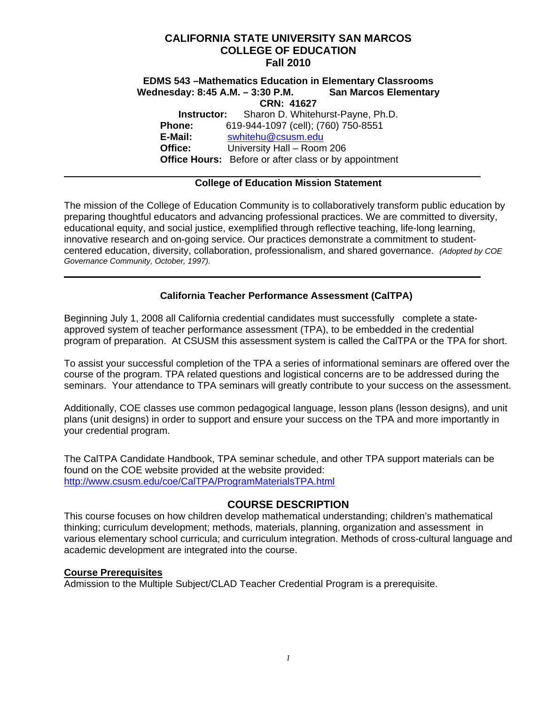# **CALIFORNIA STATE UNIVERSITY SAN MARCOS COLLEGE OF EDUCATION Fall 2010**

#### Wednesday: 8:45 A.M. - 3:30 P.M. San Marcos Elementary **EDMS 543 –Mathematics Education in Elementary Classrooms San Marcos Elementary CRN: 41627 Instructor:** Sharon D. Whitehurst-Payne, Ph.D. **Phone:** 619-944-1097 (cell); (760) 750-8551

 **E-Mail:** swhitehu@csusm.edu Office:  **Office Hours:** Before or after class or by appointment **Office:** University Hall – Room 206

## **College of Education Mission Statement**

The mission of the College of Education Community is to collaboratively transform public education by preparing thoughtful educators and advancing professional practices. We are committed to diversity, educational equity, and social justice, exemplified through reflective teaching, life-long learning, innovative research and on-going service. Our practices demonstrate a commitment to studentcentered education, diversity, collaboration, professionalism, and shared governance. *(Adopted by COE Governance Community, October, 1997).* 

# **California Teacher Performance Assessment (CalTPA)**

Beginning July 1, 2008 all California credential candidates must successfully complete a stateapproved system of teacher performance assessment (TPA), to be embedded in the credential program of preparation. At CSUSM this assessment system is called the CalTPA or the TPA for short.

To assist your successful completion of the TPA a series of informational seminars are offered over the course of the program. TPA related questions and logistical concerns are to be addressed during the seminars. Your attendance to TPA seminars will greatly contribute to your success on the assessment.

Additionally, COE classes use common pedagogical language, lesson plans (lesson designs), and unit plans (unit designs) in order to support and ensure your success on the TPA and more importantly in your credential program.

 http://www.csusm.edu/coe/CalTPA/ProgramMaterialsTPA.html The CalTPA Candidate Handbook, TPA seminar schedule, and other TPA support materials can be found on the COE website provided at the website provided:

# **COURSE DESCRIPTION**

This course focuses on how children develop mathematical understanding; children's mathematical thinking; curriculum development; methods, materials, planning, organization and assessment in various elementary school curricula; and curriculum integration. Methods of cross-cultural language and academic development are integrated into the course.

#### **Course Prerequisites**

Admission to the Multiple Subject/CLAD Teacher Credential Program is a prerequisite.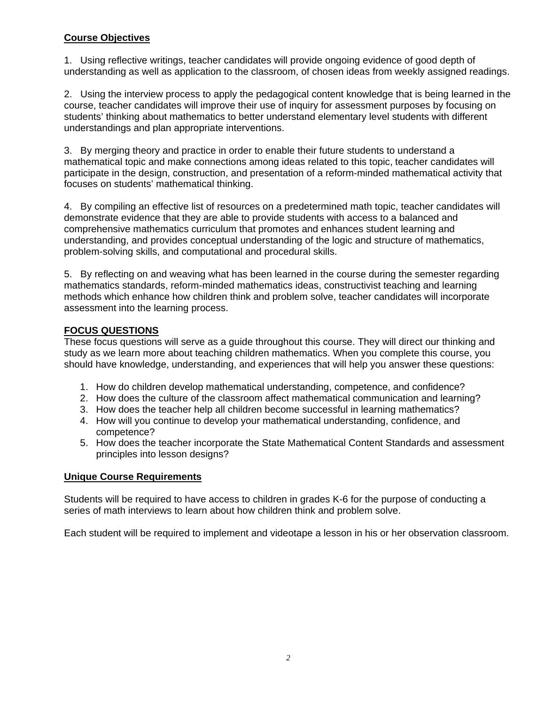## **Course Objectives**

1. Using reflective writings, teacher candidates will provide ongoing evidence of good depth of understanding as well as application to the classroom, of chosen ideas from weekly assigned readings.

2. Using the interview process to apply the pedagogical content knowledge that is being learned in the course, teacher candidates will improve their use of inquiry for assessment purposes by focusing on students' thinking about mathematics to better understand elementary level students with different understandings and plan appropriate interventions.

3. By merging theory and practice in order to enable their future students to understand a mathematical topic and make connections among ideas related to this topic, teacher candidates will participate in the design, construction, and presentation of a reform-minded mathematical activity that focuses on students' mathematical thinking.

4. By compiling an effective list of resources on a predetermined math topic, teacher candidates will demonstrate evidence that they are able to provide students with access to a balanced and comprehensive mathematics curriculum that promotes and enhances student learning and understanding, and provides conceptual understanding of the logic and structure of mathematics, problem-solving skills, and computational and procedural skills.

5. By reflecting on and weaving what has been learned in the course during the semester regarding mathematics standards, reform-minded mathematics ideas, constructivist teaching and learning methods which enhance how children think and problem solve, teacher candidates will incorporate assessment into the learning process.

# **FOCUS QUESTIONS**

These focus questions will serve as a guide throughout this course. They will direct our thinking and study as we learn more about teaching children mathematics. When you complete this course, you should have knowledge, understanding, and experiences that will help you answer these questions:

- 1. How do children develop mathematical understanding, competence, and confidence?
- 2. How does the culture of the classroom affect mathematical communication and learning?
- 3. How does the teacher help all children become successful in learning mathematics?
- 4. How will you continue to develop your mathematical understanding, confidence, and competence?
- 5. How does the teacher incorporate the State Mathematical Content Standards and assessment principles into lesson designs?

#### **Unique Course Requirements**

Students will be required to have access to children in grades K-6 for the purpose of conducting a series of math interviews to learn about how children think and problem solve.

Each student will be required to implement and videotape a lesson in his or her observation classroom.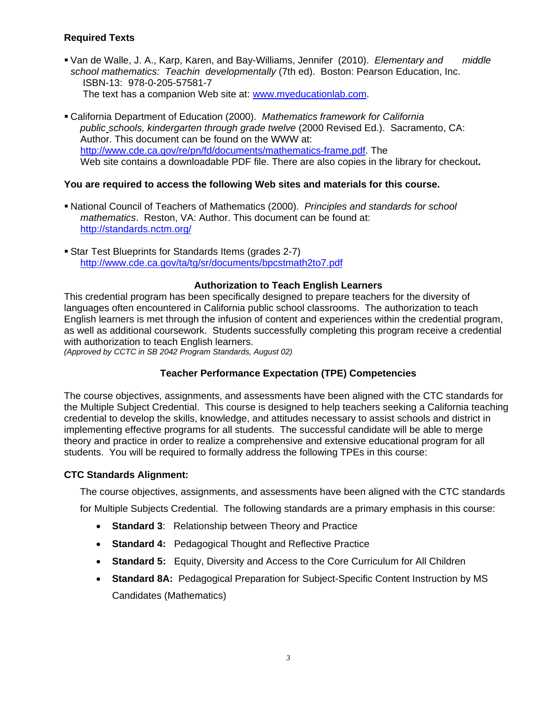## **Required Texts**

- Van de Walle, J. A., Karp, Karen, and Bay-Williams, Jennifer (2010). *Elementary and middle school mathematics: Teachin developmentally* (7th ed). Boston: Pearson Education, Inc. ISBN-13: 978-0-205-57581-7 The text has a companion Web site at: www.myeducationlab.com.
- California Department of Education (2000). *Mathematics framework for California public schools, kindergarten through grade twelve* (2000 Revised Ed.). Sacramento, CA: Author. This document can be found on the WWW at: http://www.cde.ca.gov/re/pn/fd/documents/mathematics-frame.pdf. The Web site contains a downloadable PDF file. There are also copies in the library for checkout**.**

## **You are required to access the following Web sites and materials for this course.**

- National Council of Teachers of Mathematics (2000). *Principles and standards for school mathematics*. Reston, VA: Author. This document can be found at: http://standards.nctm.org/
- Star Test Blueprints for Standards Items (grades 2-7) http://www.cde.ca.gov/ta/tg/sr/documents/bpcstmath2to7.pdf

#### **Authorization to Teach English Learners**

This credential program has been specifically designed to prepare teachers for the diversity of languages often encountered in California public school classrooms. The authorization to teach English learners is met through the infusion of content and experiences within the credential program, as well as additional coursework. Students successfully completing this program receive a credential with authorization to teach English learners.

*(Approved by CCTC in SB 2042 Program Standards, August 02)* 

#### **Teacher Performance Expectation (TPE) Competencies**

The course objectives, assignments, and assessments have been aligned with the CTC standards for the Multiple Subject Credential. This course is designed to help teachers seeking a California teaching credential to develop the skills, knowledge, and attitudes necessary to assist schools and district in implementing effective programs for all students. The successful candidate will be able to merge theory and practice in order to realize a comprehensive and extensive educational program for all students. You will be required to formally address the following TPEs in this course:

#### **CTC Standards Alignment:**

The course objectives, assignments, and assessments have been aligned with the CTC standards

for Multiple Subjects Credential. The following standards are a primary emphasis in this course:

- **Standard 3**: Relationship between Theory and Practice
- **Standard 4:** Pedagogical Thought and Reflective Practice
- **Standard 5:** Equity, Diversity and Access to the Core Curriculum for All Children
- **Standard 8A:** Pedagogical Preparation for Subject-Specific Content Instruction by MS Candidates (Mathematics)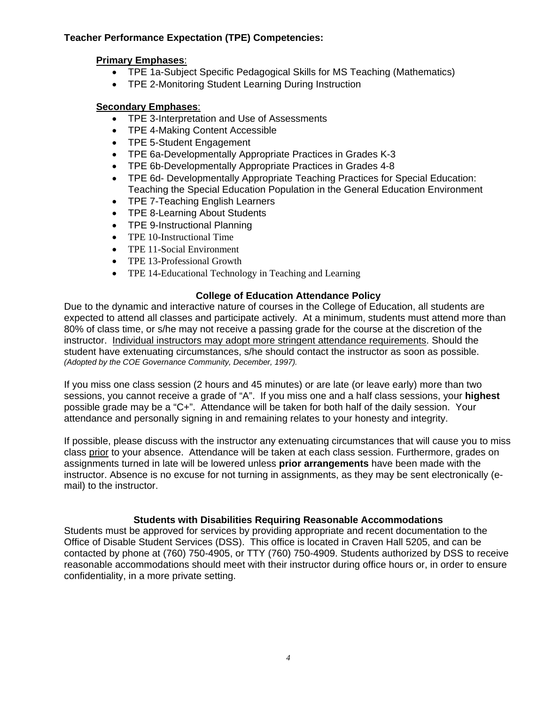### **Teacher Performance Expectation (TPE) Competencies:**

## **Primary Emphases**:

- TPE 1a-Subject Specific Pedagogical Skills for MS Teaching (Mathematics)
- TPE 2-Monitoring Student Learning During Instruction

# **Secondary Emphases**:

- TPE 3-Interpretation and Use of Assessments
- TPE 4-Making Content Accessible
- TPE 5-Student Engagement
- TPE 6a-Developmentally Appropriate Practices in Grades K-3
- TPE 6b-Developmentally Appropriate Practices in Grades 4-8
- TPE 6d- Developmentally Appropriate Teaching Practices for Special Education: Teaching the Special Education Population in the General Education Environment
- TPE 7-Teaching English Learners
- TPE 8-Learning About Students
- TPE 9-Instructional Planning
- TPE 10-Instructional Time
- TPE 11-Social Environment
- TPE 13-Professional Growth
- TPE 14-Educational Technology in Teaching and Learning

## **College of Education Attendance Policy**

 student have extenuating circumstances, s/he should contact the instructor as soon as possible. Due to the dynamic and interactive nature of courses in the College of Education, all students are expected to attend all classes and participate actively. At a minimum, students must attend more than 80% of class time, or s/he may not receive a passing grade for the course at the discretion of the instructor. Individual instructors may adopt more stringent attendance requirements. Should the *(Adopted by the COE Governance Community, December, 1997).* 

If you miss one class session (2 hours and 45 minutes) or are late (or leave early) more than two sessions, you cannot receive a grade of "A". If you miss one and a half class sessions, your **highest**  possible grade may be a "C+". Attendance will be taken for both half of the daily session. Your attendance and personally signing in and remaining relates to your honesty and integrity.

If possible, please discuss with the instructor any extenuating circumstances that will cause you to miss class prior to your absence. Attendance will be taken at each class session. Furthermore, grades on assignments turned in late will be lowered unless **prior arrangements** have been made with the instructor. Absence is no excuse for not turning in assignments, as they may be sent electronically (email) to the instructor.

#### **Students with Disabilities Requiring Reasonable Accommodations**

Students must be approved for services by providing appropriate and recent documentation to the Office of Disable Student Services (DSS). This office is located in Craven Hall 5205, and can be contacted by phone at (760) 750-4905, or TTY (760) 750-4909. Students authorized by DSS to receive reasonable accommodations should meet with their instructor during office hours or, in order to ensure confidentiality, in a more private setting.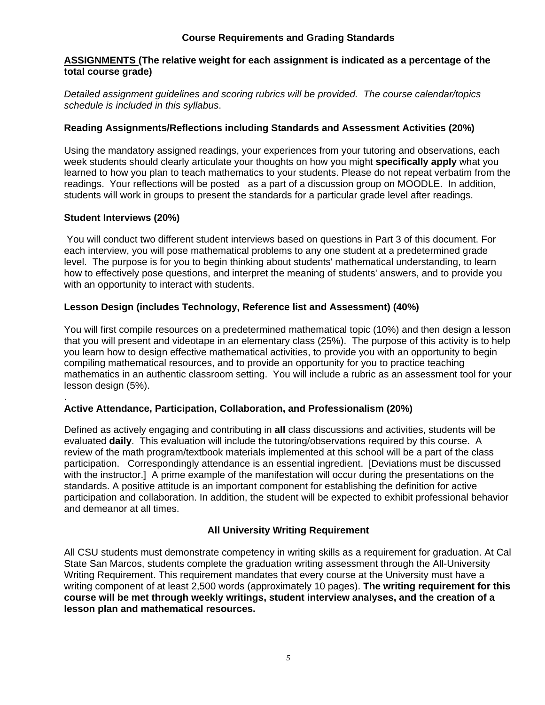### **Course Requirements and Grading Standards**

#### **ASSIGNMENTS (The relative weight for each assignment is indicated as a percentage of the total course grade)**

*Detailed assignment guidelines and scoring rubrics will be provided. The course calendar/topics schedule is included in this syllabus*.

## **Reading Assignments/Reflections including Standards and Assessment Activities (20%)**

Using the mandatory assigned readings, your experiences from your tutoring and observations, each week students should clearly articulate your thoughts on how you might **specifically apply** what you learned to how you plan to teach mathematics to your students. Please do not repeat verbatim from the readings. Your reflections will be posted as a part of a discussion group on MOODLE. In addition, students will work in groups to present the standards for a particular grade level after readings.

# **Student Interviews (20%)**

.

 You will conduct two different student interviews based on questions in Part 3 of this document. For each interview, you will pose mathematical problems to any one student at a predetermined grade level. The purpose is for you to begin thinking about students' mathematical understanding, to learn how to effectively pose questions, and interpret the meaning of students' answers, and to provide you with an opportunity to interact with students.

## **Lesson Design (includes Technology, Reference list and Assessment) (40%)**

You will first compile resources on a predetermined mathematical topic (10%) and then design a lesson that you will present and videotape in an elementary class (25%). The purpose of this activity is to help you learn how to design effective mathematical activities, to provide you with an opportunity to begin compiling mathematical resources, and to provide an opportunity for you to practice teaching mathematics in an authentic classroom setting. You will include a rubric as an assessment tool for your lesson design (5%).

#### **Active Attendance, Participation, Collaboration, and Professionalism (20%)**

Defined as actively engaging and contributing in **all** class discussions and activities, students will be evaluated **daily**. This evaluation will include the tutoring/observations required by this course. A review of the math program/textbook materials implemented at this school will be a part of the class participation. Correspondingly attendance is an essential ingredient. [Deviations must be discussed with the instructor.] A prime example of the manifestation will occur during the presentations on the standards. A positive attitude is an important component for establishing the definition for active participation and collaboration. In addition, the student will be expected to exhibit professional behavior and demeanor at all times.

## **All University Writing Requirement**

All CSU students must demonstrate competency in writing skills as a requirement for graduation. At Cal State San Marcos, students complete the graduation writing assessment through the All-University Writing Requirement. This requirement mandates that every course at the University must have a writing component of at least 2,500 words (approximately 10 pages). **The writing requirement for this course will be met through weekly writings, student interview analyses, and the creation of a lesson plan and mathematical resources.**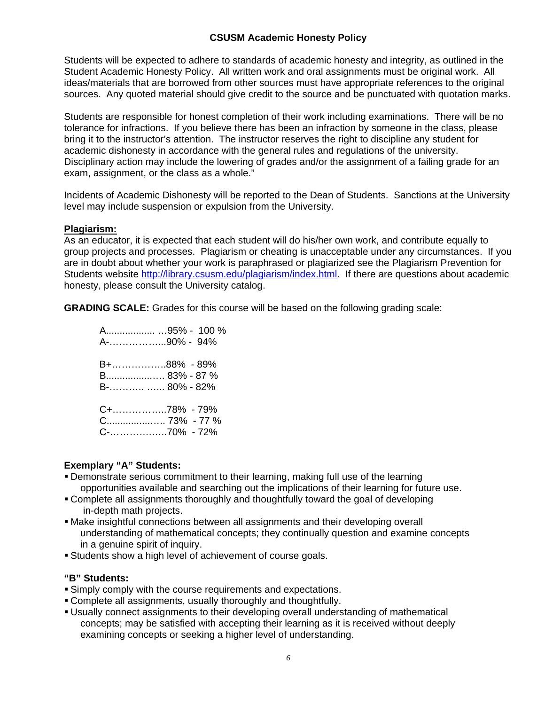## **CSUSM Academic Honesty Policy**

Students will be expected to adhere to standards of academic honesty and integrity, as outlined in the Student Academic Honesty Policy. All written work and oral assignments must be original work. All ideas/materials that are borrowed from other sources must have appropriate references to the original sources. Any quoted material should give credit to the source and be punctuated with quotation marks.

Students are responsible for honest completion of their work including examinations. There will be no tolerance for infractions. If you believe there has been an infraction by someone in the class, please bring it to the instructor's attention. The instructor reserves the right to discipline any student for academic dishonesty in accordance with the general rules and regulations of the university. Disciplinary action may include the lowering of grades and/or the assignment of a failing grade for an exam, assignment, or the class as a whole."

Incidents of Academic Dishonesty will be reported to the Dean of Students. Sanctions at the University level may include suspension or expulsion from the University.

#### **Plagiarism:**

As an educator, it is expected that each student will do his/her own work, and contribute equally to group projects and processes. Plagiarism or cheating is unacceptable under any circumstances. If you are in doubt about whether your work is paraphrased or plagiarized see the Plagiarism Prevention for Students website http://library.csusm.edu/plagiarism/index.html. If there are questions about academic honesty, please consult the University catalog.

**GRADING SCALE:** Grades for this course will be based on the following grading scale:

| A95% - 100 %<br>A-90% - 94%                  |
|----------------------------------------------|
| B+88% - 89%<br>B 83% - 87 %<br>B-  80% - 82% |
| C+78% - 79%                                  |

#### **Exemplary "A" Students:**

- Demonstrate serious commitment to their learning, making full use of the learning opportunities available and searching out the implications of their learning for future use.
- Complete all assignments thoroughly and thoughtfully toward the goal of developing in-depth math projects.
- Make insightful connections between all assignments and their developing overall understanding of mathematical concepts; they continually question and examine concepts in a genuine spirit of inquiry.
- Students show a high level of achievement of course goals.

#### **"B" Students:**

- Simply comply with the course requirements and expectations.
- Complete all assignments, usually thoroughly and thoughtfully.
- Usually connect assignments to their developing overall understanding of mathematical concepts; may be satisfied with accepting their learning as it is received without deeply examining concepts or seeking a higher level of understanding.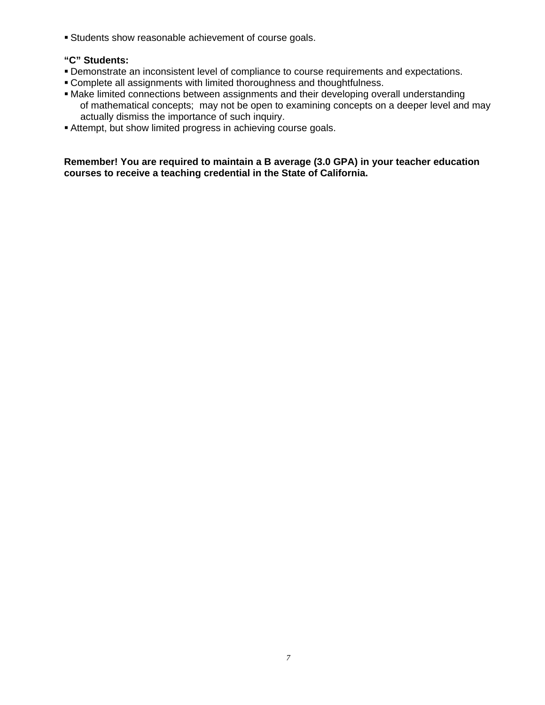Students show reasonable achievement of course goals.

#### **"C" Students:**

- Demonstrate an inconsistent level of compliance to course requirements and expectations.
- Complete all assignments with limited thoroughness and thoughtfulness.
- Make limited connections between assignments and their developing overall understanding of mathematical concepts; may not be open to examining concepts on a deeper level and may actually dismiss the importance of such inquiry.
- Attempt, but show limited progress in achieving course goals.

**Remember! You are required to maintain a B average (3.0 GPA) in your teacher education courses to receive a teaching credential in the State of California.**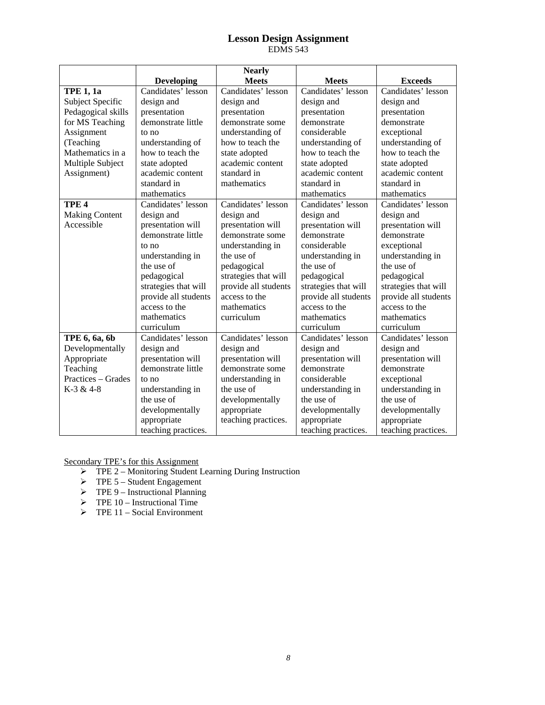#### **Lesson Design Assignment**  EDMS 543

|                       |                      | <b>Nearly</b>        |                      |                      |
|-----------------------|----------------------|----------------------|----------------------|----------------------|
|                       | <b>Developing</b>    | <b>Meets</b>         | <b>Meets</b>         | <b>Exceeds</b>       |
| <b>TPE 1, 1a</b>      | Candidates' lesson   | Candidates' lesson   | Candidates' lesson   | Candidates' lesson   |
| Subject Specific      | design and           | design and           | design and           | design and           |
| Pedagogical skills    | presentation         | presentation         | presentation         | presentation         |
| for MS Teaching       | demonstrate little   | demonstrate some     | demonstrate          | demonstrate          |
| Assignment            | to no                | understanding of     | considerable         | exceptional          |
| (Teaching             | understanding of     | how to teach the     | understanding of     | understanding of     |
| Mathematics in a      | how to teach the     | state adopted        | how to teach the     | how to teach the     |
| Multiple Subject      | state adopted        | academic content     | state adopted        | state adopted        |
| Assignment)           | academic content     | standard in          | academic content     | academic content     |
|                       | standard in          | mathematics          | standard in          | standard in          |
|                       | mathematics          |                      | mathematics          | mathematics          |
| TPE <sub>4</sub>      | Candidates' lesson   | Candidates' lesson   | Candidates' lesson   | Candidates' lesson   |
| <b>Making Content</b> | design and           | design and           | design and           | design and           |
| Accessible            | presentation will    | presentation will    | presentation will    | presentation will    |
|                       | demonstrate little   | demonstrate some     | demonstrate          | demonstrate          |
|                       | to no                | understanding in     | considerable         | exceptional          |
|                       | understanding in     | the use of           | understanding in     | understanding in     |
|                       | the use of           | pedagogical          | the use of           | the use of           |
|                       | pedagogical          | strategies that will | pedagogical          | pedagogical          |
|                       | strategies that will | provide all students | strategies that will | strategies that will |
|                       | provide all students | access to the        | provide all students | provide all students |
|                       | access to the        | mathematics          | access to the        | access to the        |
|                       | mathematics          | curriculum           | mathematics          | mathematics          |
|                       | curriculum           |                      | curriculum           | curriculum           |
| TPE 6, 6a, 6b         | Candidates' lesson   | Candidates' lesson   | Candidates' lesson   | Candidates' lesson   |
| Developmentally       | design and           | design and           | design and           | design and           |
| Appropriate           | presentation will    | presentation will    | presentation will    | presentation will    |
| Teaching              | demonstrate little   | demonstrate some     | demonstrate          | demonstrate          |
| Practices – Grades    | to no                | understanding in     | considerable         | exceptional          |
| K-3 & 4-8             | understanding in     | the use of           | understanding in     | understanding in     |
|                       | the use of           | developmentally      | the use of           | the use of           |
|                       | developmentally      | appropriate          | developmentally      | developmentally      |
|                       | appropriate          | teaching practices.  | appropriate          | appropriate          |
|                       | teaching practices.  |                      | teaching practices.  | teaching practices.  |

Secondary TPE's for this Assignment

- $\triangleright$  TPE 2 Monitoring Student Learning During Instruction
- $\triangleright$  TPE 5 Student Engagement
- $\triangleright$  TPE 9 Instructional Planning
- $\triangleright$  TPE 10 Instructional Time
- $\triangleright$  TPE 11 Social Environment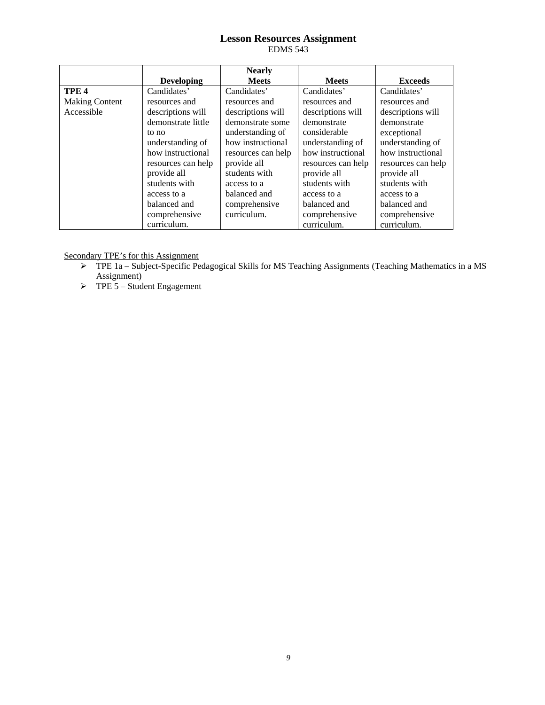#### **Lesson Resources Assignment**  EDMS 543

|                       |                    | <b>Nearly</b>      |                    |                    |
|-----------------------|--------------------|--------------------|--------------------|--------------------|
|                       | <b>Developing</b>  | <b>Meets</b>       | <b>Meets</b>       | <b>Exceeds</b>     |
| TPE <sub>4</sub>      | Candidates'        | Candidates'        | Candidates'        | Candidates'        |
| <b>Making Content</b> | resources and      | resources and      | resources and      | resources and      |
| Accessible            | descriptions will  | descriptions will  | descriptions will  | descriptions will  |
|                       | demonstrate little | demonstrate some   | demonstrate        | demonstrate        |
|                       | to no              | understanding of   | considerable       | exceptional        |
|                       | understanding of   | how instructional  | understanding of   | understanding of   |
|                       | how instructional  | resources can help | how instructional  | how instructional  |
|                       | resources can help | provide all        | resources can help | resources can help |
|                       | provide all        | students with      | provide all        | provide all        |
|                       | students with      | access to a        | students with      | students with      |
|                       | access to a        | balanced and       | access to a        | access to a        |
|                       | balanced and       | comprehensive      | balanced and       | balanced and       |
|                       | comprehensive      | curriculum.        | comprehensive      | comprehensive      |
|                       | curriculum.        |                    | curriculum.        | curriculum.        |

Secondary TPE's for this Assignment

- TPE 1a Subject-Specific Pedagogical Skills for MS Teaching Assignments (Teaching Mathematics in a MS Assignment)
- $\triangleright$  TPE 5 Student Engagement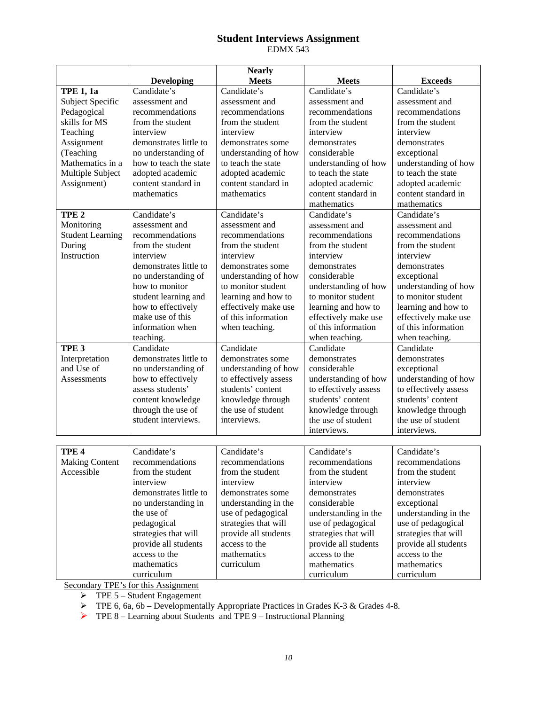#### **Student Interviews Assignment**  EDMX 543

|                                                                                            |                                                                                                                                                                                                                                                                                                | <b>Nearly</b>                                                                                                                                                                                                                                                                                 |                                                                                                                                                                                                                                                                                                                                               |                                                                                                                                                                                                    |
|--------------------------------------------------------------------------------------------|------------------------------------------------------------------------------------------------------------------------------------------------------------------------------------------------------------------------------------------------------------------------------------------------|-----------------------------------------------------------------------------------------------------------------------------------------------------------------------------------------------------------------------------------------------------------------------------------------------|-----------------------------------------------------------------------------------------------------------------------------------------------------------------------------------------------------------------------------------------------------------------------------------------------------------------------------------------------|----------------------------------------------------------------------------------------------------------------------------------------------------------------------------------------------------|
|                                                                                            | <b>Developing</b>                                                                                                                                                                                                                                                                              | <b>Meets</b>                                                                                                                                                                                                                                                                                  | <b>Meets</b>                                                                                                                                                                                                                                                                                                                                  | <b>Exceeds</b>                                                                                                                                                                                     |
| <b>TPE 1, 1a</b>                                                                           | Candidate's                                                                                                                                                                                                                                                                                    |                                                                                                                                                                                                                                                                                               |                                                                                                                                                                                                                                                                                                                                               |                                                                                                                                                                                                    |
| Subject Specific                                                                           | assessment and                                                                                                                                                                                                                                                                                 | assessment and                                                                                                                                                                                                                                                                                | assessment and                                                                                                                                                                                                                                                                                                                                | assessment and                                                                                                                                                                                     |
| Pedagogical                                                                                | recommendations                                                                                                                                                                                                                                                                                | recommendations                                                                                                                                                                                                                                                                               | recommendations                                                                                                                                                                                                                                                                                                                               | recommendations                                                                                                                                                                                    |
| skills for MS                                                                              | from the student                                                                                                                                                                                                                                                                               | from the student                                                                                                                                                                                                                                                                              | from the student                                                                                                                                                                                                                                                                                                                              | from the student                                                                                                                                                                                   |
| Teaching                                                                                   | interview                                                                                                                                                                                                                                                                                      | interview                                                                                                                                                                                                                                                                                     | interview                                                                                                                                                                                                                                                                                                                                     | interview                                                                                                                                                                                          |
| Assignment                                                                                 | demonstrates little to                                                                                                                                                                                                                                                                         | demonstrates some                                                                                                                                                                                                                                                                             | demonstrates                                                                                                                                                                                                                                                                                                                                  | demonstrates                                                                                                                                                                                       |
| (Teaching                                                                                  | no understanding of                                                                                                                                                                                                                                                                            | understanding of how                                                                                                                                                                                                                                                                          | considerable                                                                                                                                                                                                                                                                                                                                  | exceptional                                                                                                                                                                                        |
| Mathematics in a                                                                           | how to teach the state                                                                                                                                                                                                                                                                         | to teach the state                                                                                                                                                                                                                                                                            | understanding of how                                                                                                                                                                                                                                                                                                                          | understanding of how                                                                                                                                                                               |
| Multiple Subject                                                                           | adopted academic                                                                                                                                                                                                                                                                               | adopted academic                                                                                                                                                                                                                                                                              | to teach the state                                                                                                                                                                                                                                                                                                                            | to teach the state                                                                                                                                                                                 |
| Assignment)                                                                                |                                                                                                                                                                                                                                                                                                | content standard in                                                                                                                                                                                                                                                                           | adopted academic                                                                                                                                                                                                                                                                                                                              | adopted academic                                                                                                                                                                                   |
|                                                                                            | mathematics                                                                                                                                                                                                                                                                                    | mathematics                                                                                                                                                                                                                                                                                   | content standard in                                                                                                                                                                                                                                                                                                                           | content standard in                                                                                                                                                                                |
|                                                                                            |                                                                                                                                                                                                                                                                                                |                                                                                                                                                                                                                                                                                               | mathematics                                                                                                                                                                                                                                                                                                                                   | mathematics                                                                                                                                                                                        |
| TPE <sub>2</sub>                                                                           | Candidate's                                                                                                                                                                                                                                                                                    |                                                                                                                                                                                                                                                                                               | Candidate's                                                                                                                                                                                                                                                                                                                                   | Candidate's                                                                                                                                                                                        |
|                                                                                            | assessment and                                                                                                                                                                                                                                                                                 | assessment and                                                                                                                                                                                                                                                                                | assessment and                                                                                                                                                                                                                                                                                                                                | assessment and                                                                                                                                                                                     |
|                                                                                            | recommendations                                                                                                                                                                                                                                                                                | recommendations                                                                                                                                                                                                                                                                               | recommendations                                                                                                                                                                                                                                                                                                                               | recommendations                                                                                                                                                                                    |
|                                                                                            | from the student                                                                                                                                                                                                                                                                               | from the student                                                                                                                                                                                                                                                                              | from the student                                                                                                                                                                                                                                                                                                                              | from the student                                                                                                                                                                                   |
| Instruction                                                                                | interview                                                                                                                                                                                                                                                                                      | interview                                                                                                                                                                                                                                                                                     | interview                                                                                                                                                                                                                                                                                                                                     | interview                                                                                                                                                                                          |
|                                                                                            | demonstrates little to                                                                                                                                                                                                                                                                         | demonstrates some                                                                                                                                                                                                                                                                             | demonstrates                                                                                                                                                                                                                                                                                                                                  | demonstrates                                                                                                                                                                                       |
|                                                                                            |                                                                                                                                                                                                                                                                                                |                                                                                                                                                                                                                                                                                               | considerable                                                                                                                                                                                                                                                                                                                                  |                                                                                                                                                                                                    |
|                                                                                            | how to monitor                                                                                                                                                                                                                                                                                 | to monitor student                                                                                                                                                                                                                                                                            |                                                                                                                                                                                                                                                                                                                                               | understanding of how                                                                                                                                                                               |
|                                                                                            |                                                                                                                                                                                                                                                                                                |                                                                                                                                                                                                                                                                                               | to monitor student                                                                                                                                                                                                                                                                                                                            | to monitor student                                                                                                                                                                                 |
|                                                                                            |                                                                                                                                                                                                                                                                                                |                                                                                                                                                                                                                                                                                               |                                                                                                                                                                                                                                                                                                                                               | learning and how to                                                                                                                                                                                |
|                                                                                            | make use of this                                                                                                                                                                                                                                                                               | of this information                                                                                                                                                                                                                                                                           |                                                                                                                                                                                                                                                                                                                                               | effectively make use                                                                                                                                                                               |
|                                                                                            | information when                                                                                                                                                                                                                                                                               |                                                                                                                                                                                                                                                                                               | of this information                                                                                                                                                                                                                                                                                                                           | of this information                                                                                                                                                                                |
|                                                                                            | teaching.                                                                                                                                                                                                                                                                                      |                                                                                                                                                                                                                                                                                               |                                                                                                                                                                                                                                                                                                                                               |                                                                                                                                                                                                    |
| TPE <sub>3</sub>                                                                           | Candidate                                                                                                                                                                                                                                                                                      | Candidate                                                                                                                                                                                                                                                                                     | Candidate                                                                                                                                                                                                                                                                                                                                     | Candidate                                                                                                                                                                                          |
|                                                                                            | demonstrates little to                                                                                                                                                                                                                                                                         | demonstrates some                                                                                                                                                                                                                                                                             | demonstrates                                                                                                                                                                                                                                                                                                                                  | demonstrates                                                                                                                                                                                       |
| and Use of                                                                                 |                                                                                                                                                                                                                                                                                                |                                                                                                                                                                                                                                                                                               | considerable                                                                                                                                                                                                                                                                                                                                  |                                                                                                                                                                                                    |
| Assessments                                                                                | how to effectively                                                                                                                                                                                                                                                                             | to effectively assess                                                                                                                                                                                                                                                                         |                                                                                                                                                                                                                                                                                                                                               | understanding of how                                                                                                                                                                               |
|                                                                                            | assess students'                                                                                                                                                                                                                                                                               | students' content                                                                                                                                                                                                                                                                             |                                                                                                                                                                                                                                                                                                                                               | to effectively assess                                                                                                                                                                              |
|                                                                                            |                                                                                                                                                                                                                                                                                                |                                                                                                                                                                                                                                                                                               |                                                                                                                                                                                                                                                                                                                                               | students' content                                                                                                                                                                                  |
|                                                                                            |                                                                                                                                                                                                                                                                                                | the use of student                                                                                                                                                                                                                                                                            |                                                                                                                                                                                                                                                                                                                                               |                                                                                                                                                                                                    |
|                                                                                            | student interviews.                                                                                                                                                                                                                                                                            | interviews.                                                                                                                                                                                                                                                                                   | the use of student                                                                                                                                                                                                                                                                                                                            | the use of student                                                                                                                                                                                 |
|                                                                                            |                                                                                                                                                                                                                                                                                                |                                                                                                                                                                                                                                                                                               | interviews.                                                                                                                                                                                                                                                                                                                                   | interviews.                                                                                                                                                                                        |
|                                                                                            |                                                                                                                                                                                                                                                                                                |                                                                                                                                                                                                                                                                                               |                                                                                                                                                                                                                                                                                                                                               |                                                                                                                                                                                                    |
| TPE <sub>4</sub>                                                                           | Candidate's                                                                                                                                                                                                                                                                                    | Candidate's                                                                                                                                                                                                                                                                                   | Candidate's                                                                                                                                                                                                                                                                                                                                   | Candidate's                                                                                                                                                                                        |
|                                                                                            | recommendations                                                                                                                                                                                                                                                                                | recommendations                                                                                                                                                                                                                                                                               | recommendations                                                                                                                                                                                                                                                                                                                               | recommendations                                                                                                                                                                                    |
| Accessible                                                                                 | from the student                                                                                                                                                                                                                                                                               | from the student                                                                                                                                                                                                                                                                              | from the student                                                                                                                                                                                                                                                                                                                              | from the student                                                                                                                                                                                   |
|                                                                                            | interview                                                                                                                                                                                                                                                                                      | interview                                                                                                                                                                                                                                                                                     | interview                                                                                                                                                                                                                                                                                                                                     | interview                                                                                                                                                                                          |
|                                                                                            | demonstrates little to                                                                                                                                                                                                                                                                         | demonstrates some                                                                                                                                                                                                                                                                             | demonstrates                                                                                                                                                                                                                                                                                                                                  | demonstrates                                                                                                                                                                                       |
|                                                                                            |                                                                                                                                                                                                                                                                                                |                                                                                                                                                                                                                                                                                               |                                                                                                                                                                                                                                                                                                                                               |                                                                                                                                                                                                    |
|                                                                                            |                                                                                                                                                                                                                                                                                                |                                                                                                                                                                                                                                                                                               |                                                                                                                                                                                                                                                                                                                                               | understanding in the                                                                                                                                                                               |
|                                                                                            |                                                                                                                                                                                                                                                                                                |                                                                                                                                                                                                                                                                                               |                                                                                                                                                                                                                                                                                                                                               |                                                                                                                                                                                                    |
|                                                                                            |                                                                                                                                                                                                                                                                                                |                                                                                                                                                                                                                                                                                               |                                                                                                                                                                                                                                                                                                                                               |                                                                                                                                                                                                    |
|                                                                                            |                                                                                                                                                                                                                                                                                                |                                                                                                                                                                                                                                                                                               |                                                                                                                                                                                                                                                                                                                                               |                                                                                                                                                                                                    |
|                                                                                            |                                                                                                                                                                                                                                                                                                | mathematics                                                                                                                                                                                                                                                                                   |                                                                                                                                                                                                                                                                                                                                               | access to the                                                                                                                                                                                      |
|                                                                                            |                                                                                                                                                                                                                                                                                                |                                                                                                                                                                                                                                                                                               |                                                                                                                                                                                                                                                                                                                                               |                                                                                                                                                                                                    |
|                                                                                            | curriculum                                                                                                                                                                                                                                                                                     |                                                                                                                                                                                                                                                                                               | curriculum                                                                                                                                                                                                                                                                                                                                    |                                                                                                                                                                                                    |
| Monitoring<br><b>Student Learning</b><br>During<br>Interpretation<br><b>Making Content</b> | content standard in<br>no understanding of<br>student learning and<br>how to effectively<br>no understanding of<br>content knowledge<br>through the use of<br>no understanding in<br>the use of<br>pedagogical<br>strategies that will<br>provide all students<br>access to the<br>mathematics | Candidate's<br>Candidate's<br>understanding of how<br>learning and how to<br>effectively make use<br>when teaching.<br>understanding of how<br>knowledge through<br>understanding in the<br>use of pedagogical<br>strategies that will<br>provide all students<br>access to the<br>curriculum | Candidate's<br>understanding of how<br>learning and how to<br>effectively make use<br>when teaching.<br>understanding of how<br>to effectively assess<br>students' content<br>knowledge through<br>considerable<br>understanding in the<br>use of pedagogical<br>strategies that will<br>provide all students<br>access to the<br>mathematics | Candidate's<br>exceptional<br>when teaching.<br>exceptional<br>knowledge through<br>exceptional<br>use of pedagogical<br>strategies that will<br>provide all students<br>mathematics<br>curriculum |

Secondary TPE's for this Assignment

 $\triangleright$  TPE 5 – Student Engagement

 $\triangleright$  TPE 6, 6a, 6b – Developmentally Appropriate Practices in Grades K-3 & Grades 4-8.

TPE 8 – Learning about Students and TPE 9 – Instructional Planning